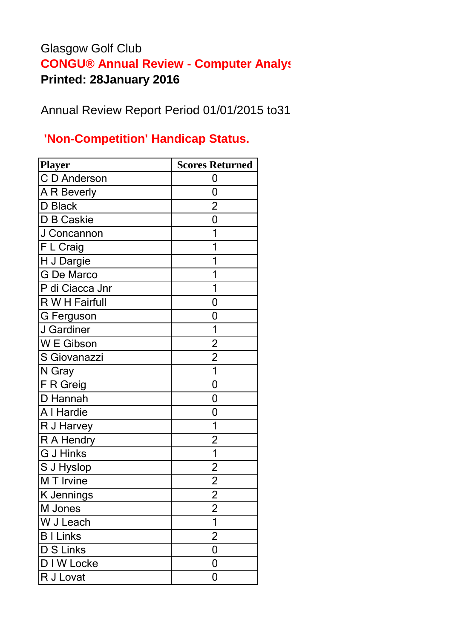## Glasgow Golf Club **CONGU® Annual Review - Computer Analys Printed: 28January 2016**

Annual Review Report Period 01/01/2015 to31

## **'Non-Competition' Handicap Status.**

| Player            | <b>Scores Returned</b>  |
|-------------------|-------------------------|
| C D Anderson      | 0                       |
| A R Beverly       | 0                       |
| D Black           | $\overline{c}$          |
| D B Caskie        | $\overline{0}$          |
| J Concannon       | 1                       |
| F L Craig         | 1                       |
| H J Dargie        |                         |
| <b>G</b> De Marco |                         |
| P di Ciacca Jnr   | 1                       |
| R W H Fairfull    | 0                       |
| <b>G</b> Ferguson | 0                       |
| J Gardiner        | 1                       |
| W E Gibson        | $\overline{2}$          |
| S Giovanazzi      | $\overline{2}$          |
| N Gray            | $\overline{1}$          |
| F R Greig         | 0                       |
| D Hannah          | 0                       |
| A I Hardie        | 0                       |
| R J Harvey        | $\mathbf{1}$            |
| R A Hendry        | $\overline{\mathbf{c}}$ |
| <b>G J Hinks</b>  | $\overline{1}$          |
| S J Hyslop        |                         |
| M T Irvine        | $\frac{2}{2}$           |
| K Jennings        | $\overline{2}$          |
| M Jones           | $\overline{2}$          |
| W J Leach         | $\overline{\mathbf{1}}$ |
| <b>B</b> I Links  | $\overline{2}$          |
| <b>D S Links</b>  | 0                       |
| D I W Locke       | 0                       |
| R J Lovat         | 0                       |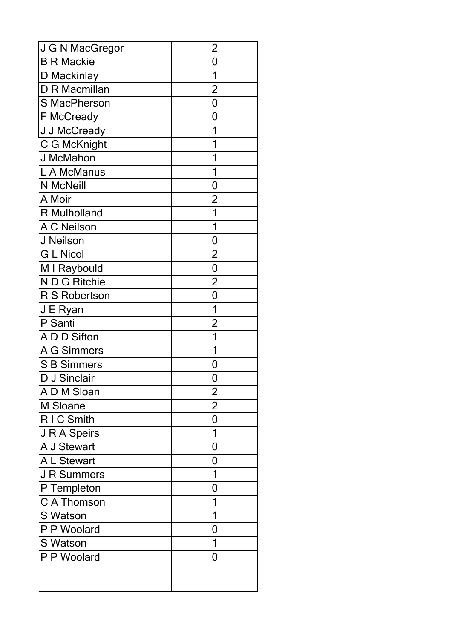| J G N MacGregor    | $\overline{2}$ |
|--------------------|----------------|
| <b>B R Mackie</b>  | 0              |
| D Mackinlay        | 1              |
| D R Macmillan      | $\overline{2}$ |
| S MacPherson       | 0              |
| F McCready         | 0              |
| J J McCready       | 1              |
| C G McKnight       | 1              |
| J McMahon          | 1              |
| L A McManus        | 1              |
| N McNeill          | 0              |
| A Moir             | $\overline{2}$ |
| R Mulholland       | 1              |
| A C Neilson        | 1              |
| J Neilson          | 0              |
| <b>G L Nicol</b>   | $\overline{2}$ |
| M I Raybould       | $\overline{0}$ |
| N D G Ritchie      | $\overline{2}$ |
| R S Robertson      | $\mathbf 0$    |
| J E Ryan           | 1              |
| P Santi            | $\overline{2}$ |
| A D D Sifton       | 1              |
| A G Simmers        | 1              |
| <b>S B Simmers</b> | 0              |
| D J Sinclair       | 0              |
| A D M Sloan        | $\overline{c}$ |
| M Sloane           | $\overline{2}$ |
| R I C Smith        | 0              |
| J R A Speirs       | 1              |
| A J Stewart        | 0              |
| A L Stewart        | 0              |
| <b>J R Summers</b> | 1              |
| P Templeton        | 0              |
| C A Thomson        | 1              |
| S Watson           | 1              |
| P P Woolard        | 0              |
| S Watson           | 1              |
| P P Woolard        | 0              |
|                    |                |
|                    |                |